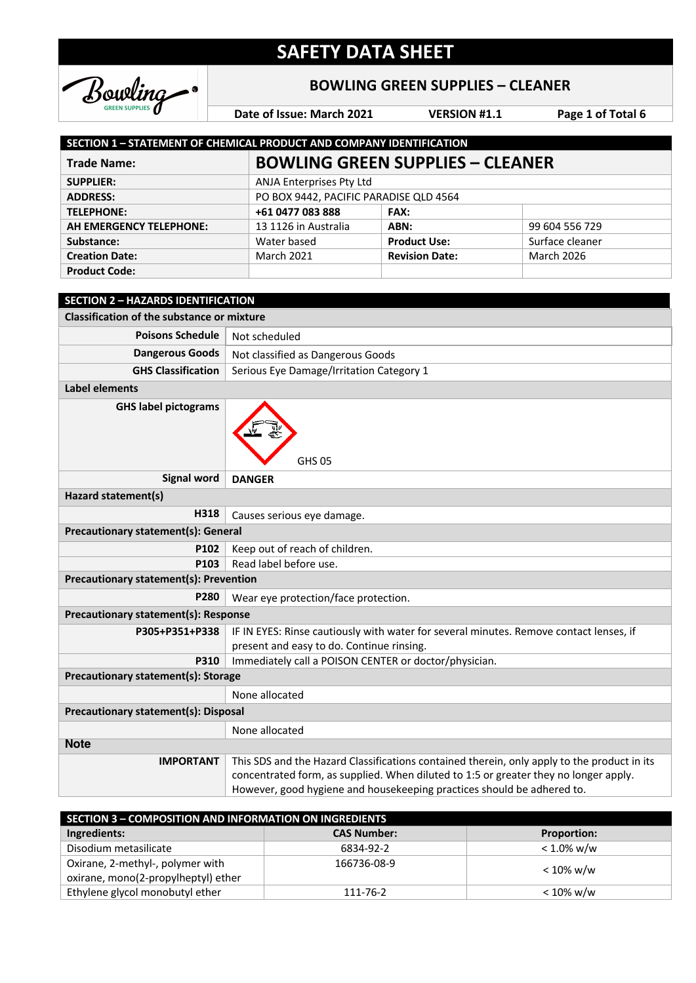

### **BOWLING GREEN SUPPLIES – CLEANER**

**Date of Issue: March 2021 VERSION #1.1 Page 1 of Total 6**

| SECTION 1 - STATEMENT OF CHEMICAL PRODUCT AND COMPANY IDENTIFICATION |                                         |                          |                   |  |
|----------------------------------------------------------------------|-----------------------------------------|--------------------------|-------------------|--|
| <b>Trade Name:</b>                                                   | <b>BOWLING GREEN SUPPLIES - CLEANER</b> |                          |                   |  |
| <b>SUPPLIER:</b>                                                     |                                         | ANJA Enterprises Pty Ltd |                   |  |
| <b>ADDRESS:</b>                                                      | PO BOX 9442, PACIFIC PARADISE QLD 4564  |                          |                   |  |
| <b>TELEPHONE:</b>                                                    | +61 0477 083 888                        | <b>FAX:</b>              |                   |  |
| AH EMERGENCY TELEPHONE:                                              | 13 1126 in Australia                    | ABN:                     | 99 604 556 729    |  |
| Substance:                                                           | Water based                             | <b>Product Use:</b>      | Surface cleaner   |  |
| <b>Creation Date:</b>                                                | <b>March 2021</b>                       | <b>Revision Date:</b>    | <b>March 2026</b> |  |
| <b>Product Code:</b>                                                 |                                         |                          |                   |  |

| <b>SECTION 2 - HAZARDS IDENTIFICATION</b>         |                                                                                                                                                                                                                                                               |  |
|---------------------------------------------------|---------------------------------------------------------------------------------------------------------------------------------------------------------------------------------------------------------------------------------------------------------------|--|
| <b>Classification of the substance or mixture</b> |                                                                                                                                                                                                                                                               |  |
| <b>Poisons Schedule</b>                           | Not scheduled                                                                                                                                                                                                                                                 |  |
| <b>Dangerous Goods</b>                            | Not classified as Dangerous Goods                                                                                                                                                                                                                             |  |
| <b>GHS Classification</b>                         | Serious Eye Damage/Irritation Category 1                                                                                                                                                                                                                      |  |
| <b>Label elements</b>                             |                                                                                                                                                                                                                                                               |  |
| <b>GHS label pictograms</b>                       | <b>GHS 05</b>                                                                                                                                                                                                                                                 |  |
| <b>Signal word</b>                                | <b>DANGER</b>                                                                                                                                                                                                                                                 |  |
| Hazard statement(s)                               |                                                                                                                                                                                                                                                               |  |
| H318                                              | Causes serious eye damage.                                                                                                                                                                                                                                    |  |
| <b>Precautionary statement(s): General</b>        |                                                                                                                                                                                                                                                               |  |
| P102                                              | Keep out of reach of children.                                                                                                                                                                                                                                |  |
| P <sub>103</sub>                                  | Read label before use.                                                                                                                                                                                                                                        |  |
| <b>Precautionary statement(s): Prevention</b>     |                                                                                                                                                                                                                                                               |  |
| P280                                              | Wear eye protection/face protection.                                                                                                                                                                                                                          |  |
| Precautionary statement(s): Response              |                                                                                                                                                                                                                                                               |  |
| P305+P351+P338                                    | IF IN EYES: Rinse cautiously with water for several minutes. Remove contact lenses, if                                                                                                                                                                        |  |
|                                                   | present and easy to do. Continue rinsing.                                                                                                                                                                                                                     |  |
| P310                                              | Immediately call a POISON CENTER or doctor/physician.                                                                                                                                                                                                         |  |
| Precautionary statement(s): Storage               |                                                                                                                                                                                                                                                               |  |
|                                                   | None allocated                                                                                                                                                                                                                                                |  |
| <b>Precautionary statement(s): Disposal</b>       |                                                                                                                                                                                                                                                               |  |
|                                                   | None allocated                                                                                                                                                                                                                                                |  |
| <b>Note</b>                                       |                                                                                                                                                                                                                                                               |  |
| <b>IMPORTANT</b>                                  | This SDS and the Hazard Classifications contained therein, only apply to the product in its<br>concentrated form, as supplied. When diluted to 1:5 or greater they no longer apply.<br>However, good hygiene and housekeeping practices should be adhered to. |  |

| SECTION 3 - COMPOSITION AND INFORMATION ON INGREDIENTS |                    |                    |  |
|--------------------------------------------------------|--------------------|--------------------|--|
| Ingredients:                                           | <b>CAS Number:</b> | <b>Proportion:</b> |  |
| Disodium metasilicate                                  | 6834-92-2          | $< 1.0\%$ w/w      |  |
| Oxirane, 2-methyl-, polymer with                       | 166736-08-9        | $< 10\%$ w/w       |  |
| oxirane, mono(2-propylheptyl) ether                    |                    |                    |  |
| Ethylene glycol monobutyl ether                        | 111-76-2           | $< 10\%$ w/w       |  |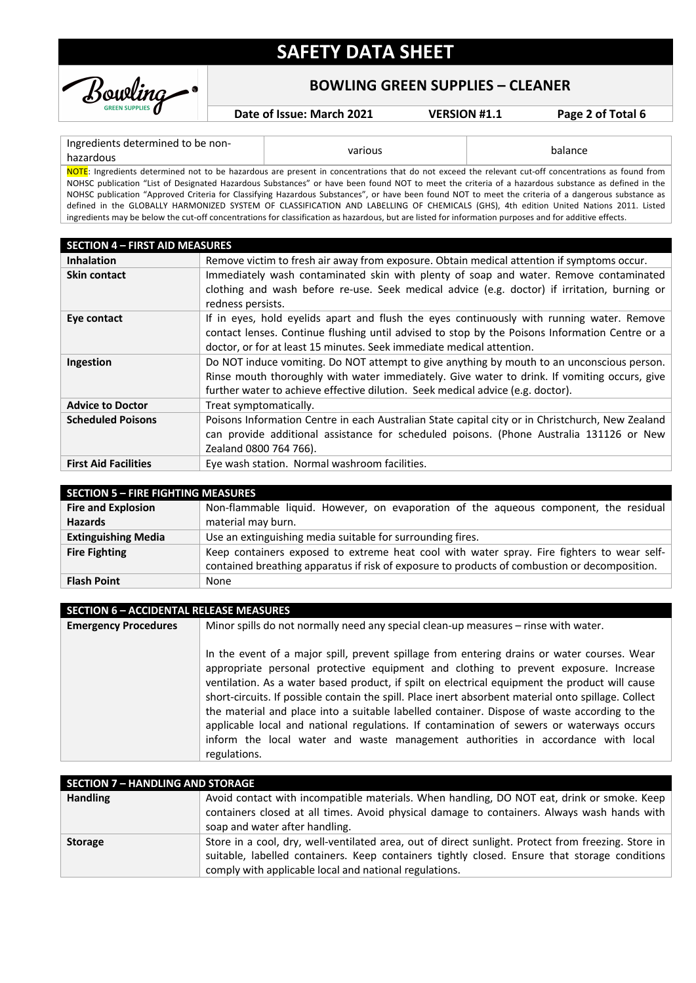

### **BOWLING GREEN SUPPLIES – CLEANER**

**Date of Issue: March 2021 VERSION #1.1 Page 2 of Total 6**

#### Ingredients determined to be nonhazardous determined to be non-

NOTE: Ingredients determined not to be hazardous are present in concentrations that do not exceed the relevant cut-off concentrations as found from NOHSC publication "List of Designated Hazardous Substances" or have been found NOT to meet the criteria of a hazardous substance as defined in the NOHSC publication "Approved Criteria for Classifying Hazardous Substances", or have been found NOT to meet the criteria of a dangerous substance as defined in the GLOBALLY HARMONIZED SYSTEM OF CLASSIFICATION AND LABELLING OF CHEMICALS (GHS), 4th edition United Nations 2011. Listed ingredients may be below the cut-off concentrations for classification as hazardous, but are listed for information purposes and for additive effects.

| <b>SECTION 4 - FIRST AID MEASURES</b> |                                                                                                                                                                                                                                                                               |  |  |
|---------------------------------------|-------------------------------------------------------------------------------------------------------------------------------------------------------------------------------------------------------------------------------------------------------------------------------|--|--|
| <b>Inhalation</b>                     | Remove victim to fresh air away from exposure. Obtain medical attention if symptoms occur.                                                                                                                                                                                    |  |  |
| <b>Skin contact</b>                   | Immediately wash contaminated skin with plenty of soap and water. Remove contaminated                                                                                                                                                                                         |  |  |
|                                       | clothing and wash before re-use. Seek medical advice (e.g. doctor) if irritation, burning or<br>redness persists.                                                                                                                                                             |  |  |
| Eye contact                           | If in eyes, hold eyelids apart and flush the eyes continuously with running water. Remove<br>contact lenses. Continue flushing until advised to stop by the Poisons Information Centre or a<br>doctor, or for at least 15 minutes. Seek immediate medical attention.          |  |  |
| Ingestion                             | Do NOT induce vomiting. Do NOT attempt to give anything by mouth to an unconscious person.<br>Rinse mouth thoroughly with water immediately. Give water to drink. If vomiting occurs, give<br>further water to achieve effective dilution. Seek medical advice (e.g. doctor). |  |  |
| <b>Advice to Doctor</b>               | Treat symptomatically.                                                                                                                                                                                                                                                        |  |  |
| <b>Scheduled Poisons</b>              | Poisons Information Centre in each Australian State capital city or in Christchurch, New Zealand<br>can provide additional assistance for scheduled poisons. (Phone Australia 131126 or New<br>Zealand 0800 764 766).                                                         |  |  |
| <b>First Aid Facilities</b>           | Eye wash station. Normal washroom facilities.                                                                                                                                                                                                                                 |  |  |

| <b>SECTION 5 - FIRE FIGHTING MEASURES</b> |                                                                                               |  |
|-------------------------------------------|-----------------------------------------------------------------------------------------------|--|
| <b>Fire and Explosion</b>                 | Non-flammable liquid. However, on evaporation of the aqueous component, the residual          |  |
| <b>Hazards</b>                            | material may burn.                                                                            |  |
| <b>Extinguishing Media</b>                | Use an extinguishing media suitable for surrounding fires.                                    |  |
| <b>Fire Fighting</b>                      | Keep containers exposed to extreme heat cool with water spray. Fire fighters to wear self-    |  |
|                                           | contained breathing apparatus if risk of exposure to products of combustion or decomposition. |  |
| <b>Flash Point</b>                        | None                                                                                          |  |

| <b>SECTION 6 - ACCIDENTAL RELEASE MEASURES</b> |                                                                                                                                                                                                                                                                                                                                                                                                                                                                                                                                                                                                                                                                                                |  |
|------------------------------------------------|------------------------------------------------------------------------------------------------------------------------------------------------------------------------------------------------------------------------------------------------------------------------------------------------------------------------------------------------------------------------------------------------------------------------------------------------------------------------------------------------------------------------------------------------------------------------------------------------------------------------------------------------------------------------------------------------|--|
| <b>Emergency Procedures</b>                    | Minor spills do not normally need any special clean-up measures - rinse with water.                                                                                                                                                                                                                                                                                                                                                                                                                                                                                                                                                                                                            |  |
|                                                | In the event of a major spill, prevent spillage from entering drains or water courses. Wear<br>appropriate personal protective equipment and clothing to prevent exposure. Increase<br>ventilation. As a water based product, if spilt on electrical equipment the product will cause<br>short-circuits. If possible contain the spill. Place inert absorbent material onto spillage. Collect<br>the material and place into a suitable labelled container. Dispose of waste according to the<br>applicable local and national regulations. If contamination of sewers or waterways occurs<br>inform the local water and waste management authorities in accordance with local<br>regulations. |  |

| SECTION 7 - HANDLING AND STORAGE |                                                                                                                                                                                                      |  |
|----------------------------------|------------------------------------------------------------------------------------------------------------------------------------------------------------------------------------------------------|--|
| <b>Handling</b>                  | Avoid contact with incompatible materials. When handling, DO NOT eat, drink or smoke. Keep                                                                                                           |  |
|                                  | containers closed at all times. Avoid physical damage to containers. Always wash hands with                                                                                                          |  |
|                                  | soap and water after handling.                                                                                                                                                                       |  |
| <b>Storage</b>                   | Store in a cool, dry, well-ventilated area, out of direct sunlight. Protect from freezing. Store in<br>suitable, labelled containers. Keep containers tightly closed. Ensure that storage conditions |  |
|                                  | comply with applicable local and national regulations.                                                                                                                                               |  |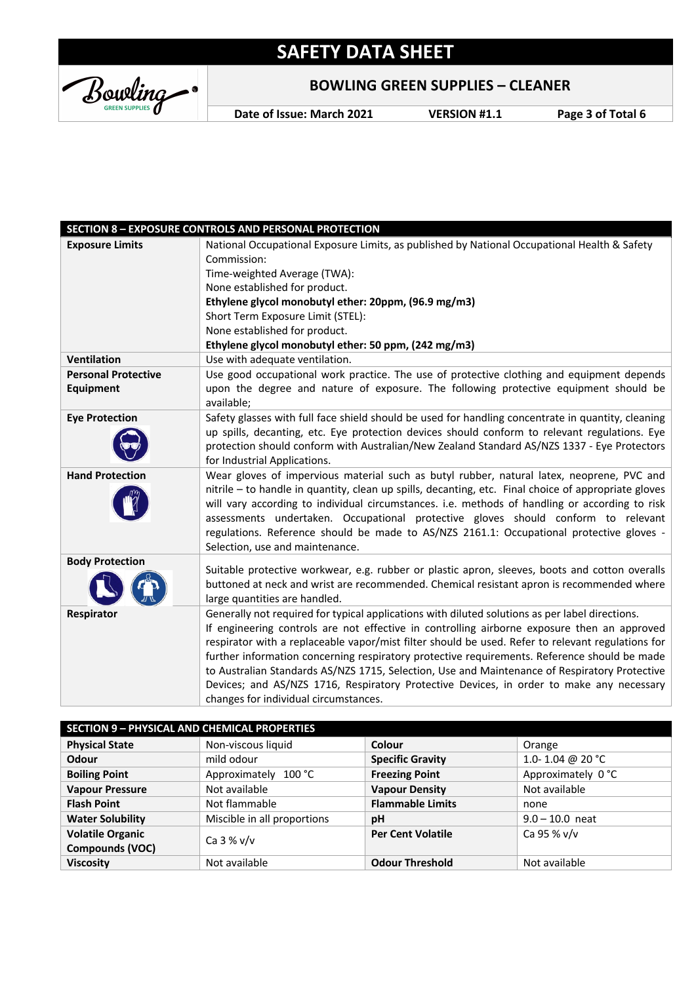Bowling

### **BOWLING GREEN SUPPLIES – CLEANER**

**Date of Issue: March 2021 VERSION #1.1 Page 3 of Total 6**

|                            | <b>SECTION 8 - EXPOSURE CONTROLS AND PERSONAL PROTECTION</b>                                                                                                                                                                                                                                                                                                                                                                                                                                                                                                                                                                              |
|----------------------------|-------------------------------------------------------------------------------------------------------------------------------------------------------------------------------------------------------------------------------------------------------------------------------------------------------------------------------------------------------------------------------------------------------------------------------------------------------------------------------------------------------------------------------------------------------------------------------------------------------------------------------------------|
| <b>Exposure Limits</b>     | National Occupational Exposure Limits, as published by National Occupational Health & Safety                                                                                                                                                                                                                                                                                                                                                                                                                                                                                                                                              |
|                            | Commission:                                                                                                                                                                                                                                                                                                                                                                                                                                                                                                                                                                                                                               |
|                            | Time-weighted Average (TWA):                                                                                                                                                                                                                                                                                                                                                                                                                                                                                                                                                                                                              |
|                            | None established for product.                                                                                                                                                                                                                                                                                                                                                                                                                                                                                                                                                                                                             |
|                            | Ethylene glycol monobutyl ether: 20ppm, (96.9 mg/m3)                                                                                                                                                                                                                                                                                                                                                                                                                                                                                                                                                                                      |
|                            | Short Term Exposure Limit (STEL):                                                                                                                                                                                                                                                                                                                                                                                                                                                                                                                                                                                                         |
|                            | None established for product.                                                                                                                                                                                                                                                                                                                                                                                                                                                                                                                                                                                                             |
|                            | Ethylene glycol monobutyl ether: 50 ppm, (242 mg/m3)                                                                                                                                                                                                                                                                                                                                                                                                                                                                                                                                                                                      |
| <b>Ventilation</b>         | Use with adequate ventilation.                                                                                                                                                                                                                                                                                                                                                                                                                                                                                                                                                                                                            |
| <b>Personal Protective</b> | Use good occupational work practice. The use of protective clothing and equipment depends                                                                                                                                                                                                                                                                                                                                                                                                                                                                                                                                                 |
| <b>Equipment</b>           | upon the degree and nature of exposure. The following protective equipment should be<br>available;                                                                                                                                                                                                                                                                                                                                                                                                                                                                                                                                        |
| <b>Eye Protection</b>      | Safety glasses with full face shield should be used for handling concentrate in quantity, cleaning                                                                                                                                                                                                                                                                                                                                                                                                                                                                                                                                        |
|                            | up spills, decanting, etc. Eye protection devices should conform to relevant regulations. Eye                                                                                                                                                                                                                                                                                                                                                                                                                                                                                                                                             |
|                            | protection should conform with Australian/New Zealand Standard AS/NZS 1337 - Eye Protectors                                                                                                                                                                                                                                                                                                                                                                                                                                                                                                                                               |
|                            | for Industrial Applications.                                                                                                                                                                                                                                                                                                                                                                                                                                                                                                                                                                                                              |
| <b>Hand Protection</b>     | Wear gloves of impervious material such as butyl rubber, natural latex, neoprene, PVC and<br>nitrile - to handle in quantity, clean up spills, decanting, etc. Final choice of appropriate gloves<br>will vary according to individual circumstances. i.e. methods of handling or according to risk<br>assessments undertaken. Occupational protective gloves should conform to relevant<br>regulations. Reference should be made to AS/NZS 2161.1: Occupational protective gloves -<br>Selection, use and maintenance.                                                                                                                   |
| <b>Body Protection</b>     |                                                                                                                                                                                                                                                                                                                                                                                                                                                                                                                                                                                                                                           |
|                            | Suitable protective workwear, e.g. rubber or plastic apron, sleeves, boots and cotton overalls<br>buttoned at neck and wrist are recommended. Chemical resistant apron is recommended where<br>large quantities are handled.                                                                                                                                                                                                                                                                                                                                                                                                              |
| Respirator                 | Generally not required for typical applications with diluted solutions as per label directions.<br>If engineering controls are not effective in controlling airborne exposure then an approved<br>respirator with a replaceable vapor/mist filter should be used. Refer to relevant regulations for<br>further information concerning respiratory protective requirements. Reference should be made<br>to Australian Standards AS/NZS 1715, Selection, Use and Maintenance of Respiratory Protective<br>Devices; and AS/NZS 1716, Respiratory Protective Devices, in order to make any necessary<br>changes for individual circumstances. |

| <b>SECTION 9 - PHYSICAL AND CHEMICAL PROPERTIES</b> |                             |                          |                    |
|-----------------------------------------------------|-----------------------------|--------------------------|--------------------|
| <b>Physical State</b>                               | Non-viscous liquid          | Colour                   | Orange             |
| Odour                                               | mild odour                  | <b>Specific Gravity</b>  | 1.0-1.04 @ 20 °C   |
| <b>Boiling Point</b>                                | Approximately 100 °C        | <b>Freezing Point</b>    | Approximately 0 °C |
| <b>Vapour Pressure</b>                              | Not available               | <b>Vapour Density</b>    | Not available      |
| <b>Flash Point</b>                                  | Not flammable               | <b>Flammable Limits</b>  | none               |
| <b>Water Solubility</b>                             | Miscible in all proportions | pH                       | $9.0 - 10.0$ neat  |
| <b>Volatile Organic</b>                             | Ca $3\%$ v/v                | <b>Per Cent Volatile</b> | Ca 95 % v/v        |
| Compounds (VOC)                                     |                             |                          |                    |
| <b>Viscosity</b>                                    | Not available               | <b>Odour Threshold</b>   | Not available      |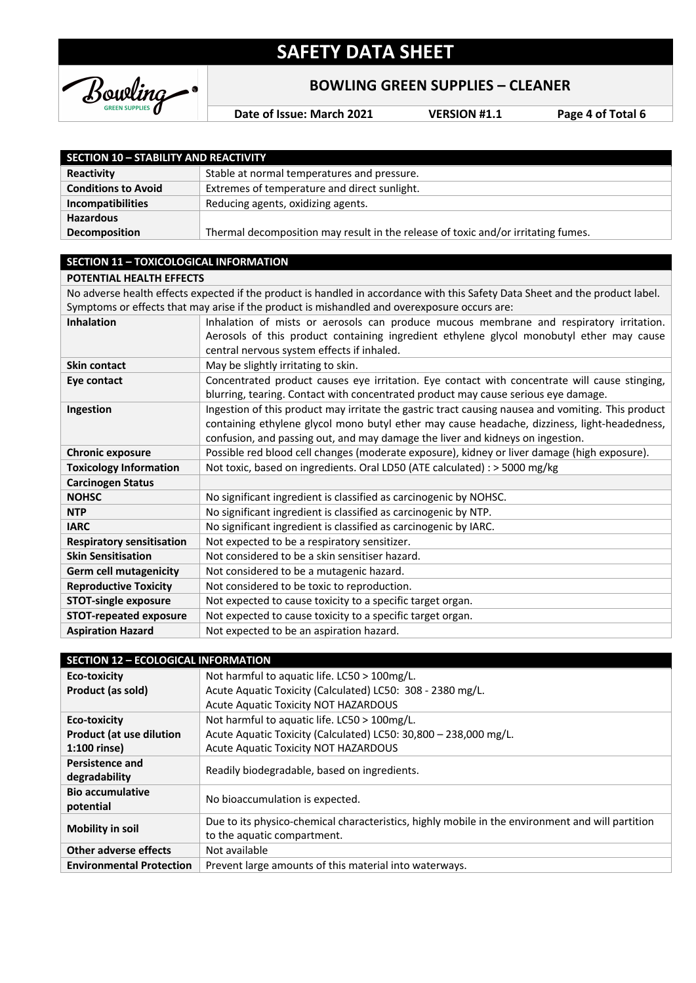

### **BOWLING GREEN SUPPLIES – CLEANER**

**Date of Issue: March 2021 VERSION #1.1 Page 4 of Total 6**

| <b>SECTION 10 - STABILITY AND REACTIVITY</b>  |                                                                                                                               |
|-----------------------------------------------|-------------------------------------------------------------------------------------------------------------------------------|
| Reactivity                                    | Stable at normal temperatures and pressure.                                                                                   |
| <b>Conditions to Avoid</b>                    | Extremes of temperature and direct sunlight.                                                                                  |
| Incompatibilities                             | Reducing agents, oxidizing agents.                                                                                            |
| <b>Hazardous</b>                              |                                                                                                                               |
| Decomposition                                 | Thermal decomposition may result in the release of toxic and/or irritating fumes.                                             |
|                                               |                                                                                                                               |
| <b>SECTION 11 - TOXICOLOGICAL INFORMATION</b> |                                                                                                                               |
| POTENTIAL HEALTH EFFECTS                      |                                                                                                                               |
|                                               | No adverse health effects expected if the product is handled in accordance with this Safety Data Sheet and the product label. |
|                                               | Symptoms or effects that may arise if the product is mishandled and overexposure occurs are:                                  |
| <b>Inhalation</b>                             | Inhalation of mists or aerosols can produce mucous membrane and respiratory irritation.                                       |
|                                               | Aerosols of this product containing ingredient ethylene glycol monobutyl ether may cause                                      |
|                                               | central nervous system effects if inhaled.                                                                                    |
| <b>Skin contact</b>                           | May be slightly irritating to skin.                                                                                           |
| Eye contact                                   | Concentrated product causes eye irritation. Eye contact with concentrate will cause stinging,                                 |
|                                               | blurring, tearing. Contact with concentrated product may cause serious eye damage.                                            |
| Ingestion                                     | Ingestion of this product may irritate the gastric tract causing nausea and vomiting. This product                            |
|                                               | containing ethylene glycol mono butyl ether may cause headache, dizziness, light-headedness,                                  |
|                                               | confusion, and passing out, and may damage the liver and kidneys on ingestion.                                                |
| <b>Chronic exposure</b>                       | Possible red blood cell changes (moderate exposure), kidney or liver damage (high exposure).                                  |
| <b>Toxicology Information</b>                 | Not toxic, based on ingredients. Oral LD50 (ATE calculated) : > 5000 mg/kg                                                    |
| <b>Carcinogen Status</b>                      |                                                                                                                               |
| <b>NOHSC</b>                                  | No significant ingredient is classified as carcinogenic by NOHSC.                                                             |
| <b>NTP</b>                                    | No significant ingredient is classified as carcinogenic by NTP.                                                               |
| <b>IARC</b>                                   | No significant ingredient is classified as carcinogenic by IARC.                                                              |
| <b>Respiratory sensitisation</b>              | Not expected to be a respiratory sensitizer.                                                                                  |
| <b>Skin Sensitisation</b>                     | Not considered to be a skin sensitiser hazard.                                                                                |
| <b>Germ cell mutagenicity</b>                 | Not considered to be a mutagenic hazard.                                                                                      |
| <b>Reproductive Toxicity</b>                  | Not considered to be toxic to reproduction.                                                                                   |
| <b>STOT-single exposure</b>                   | Not expected to cause toxicity to a specific target organ.                                                                    |
| <b>STOT-repeated exposure</b>                 | Not expected to cause toxicity to a specific target organ.                                                                    |
| <b>Aspiration Hazard</b>                      | Not expected to be an aspiration hazard.                                                                                      |

| <b>SECTION 12 - ECOLOGICAL INFORMATION</b> |                                                                                                  |
|--------------------------------------------|--------------------------------------------------------------------------------------------------|
| Eco-toxicity                               | Not harmful to aquatic life. LC50 > 100mg/L.                                                     |
| Product (as sold)                          | Acute Aquatic Toxicity (Calculated) LC50: 308 - 2380 mg/L.                                       |
|                                            | <b>Acute Aquatic Toxicity NOT HAZARDOUS</b>                                                      |
| Eco-toxicity                               | Not harmful to aquatic life. LC50 > 100mg/L.                                                     |
| <b>Product (at use dilution</b>            | Acute Aquatic Toxicity (Calculated) LC50: 30,800 - 238,000 mg/L.                                 |
| $1:100$ rinse)                             | Acute Aquatic Toxicity NOT HAZARDOUS                                                             |
| <b>Persistence and</b>                     | Readily biodegradable, based on ingredients.                                                     |
| degradability                              |                                                                                                  |
| <b>Bio accumulative</b>                    | No bioaccumulation is expected.                                                                  |
| potential                                  |                                                                                                  |
| <b>Mobility in soil</b>                    | Due to its physico-chemical characteristics, highly mobile in the environment and will partition |
|                                            | to the aquatic compartment.                                                                      |
| <b>Other adverse effects</b>               | Not available                                                                                    |
| <b>Environmental Protection</b>            | Prevent large amounts of this material into waterways.                                           |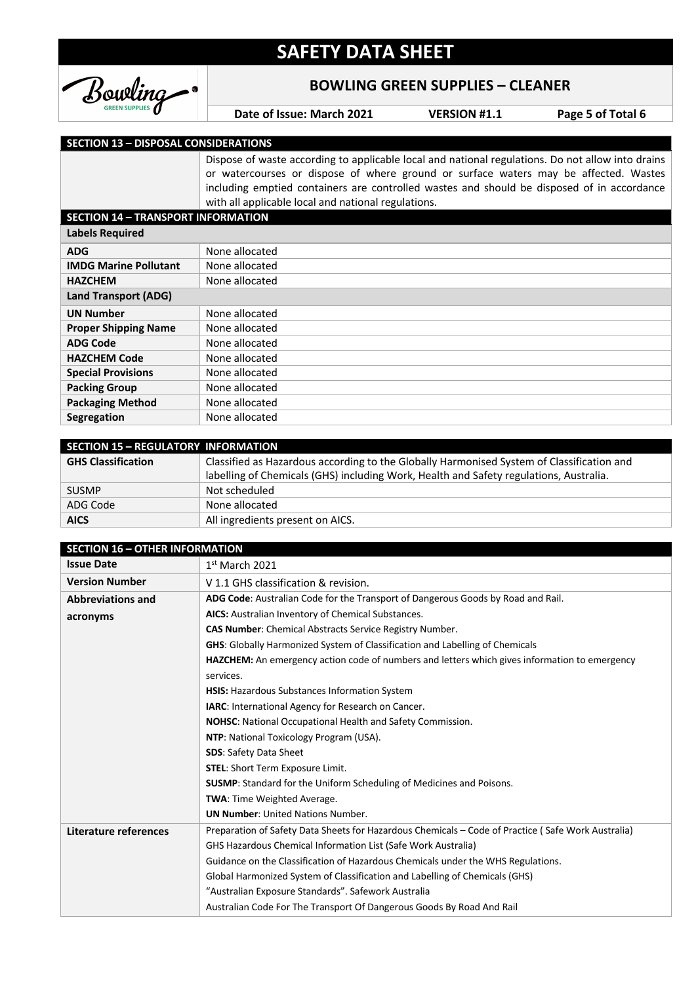

#### **BOWLING GREEN SUPPLIES – CLEANER**

**Date of Issue: March 2021 VERSION #1.1 Page 5 of Total 6**

#### **SECTION 13 – DISPOSAL CONSIDERATIONS**

Dispose of waste according to applicable local and national regulations. Do not allow into drains or watercourses or dispose of where ground or surface waters may be affected. Wastes including emptied containers are controlled wastes and should be disposed of in accordance with all applicable local and national regulations.

| <b>SECTION 14 - TRANSPORT INFORMATION</b> |                |  |
|-------------------------------------------|----------------|--|
| <b>Labels Required</b>                    |                |  |
| ADG                                       | None allocated |  |
| <b>IMDG Marine Pollutant</b>              | None allocated |  |
| <b>HAZCHEM</b>                            | None allocated |  |
| Land Transport (ADG)                      |                |  |
| <b>UN Number</b>                          | None allocated |  |
| <b>Proper Shipping Name</b>               | None allocated |  |
| <b>ADG Code</b>                           | None allocated |  |
| <b>HAZCHEM Code</b>                       | None allocated |  |
| <b>Special Provisions</b>                 | None allocated |  |
| <b>Packing Group</b>                      | None allocated |  |
| <b>Packaging Method</b>                   | None allocated |  |
| <b>Segregation</b>                        | None allocated |  |
|                                           |                |  |

| <b>SECTION 15 - REGULATORY INFORMATION</b> |                                                                                           |  |  |
|--------------------------------------------|-------------------------------------------------------------------------------------------|--|--|
| <b>GHS Classification</b>                  | Classified as Hazardous according to the Globally Harmonised System of Classification and |  |  |
|                                            | labelling of Chemicals (GHS) including Work, Health and Safety regulations, Australia.    |  |  |
| <b>SUSMP</b>                               | Not scheduled                                                                             |  |  |
| ADG Code                                   | None allocated                                                                            |  |  |
| <b>AICS</b>                                | All ingredients present on AICS.                                                          |  |  |

| <b>SECTION 16 - OTHER INFORMATION</b> |                                                                                                                      |  |  |  |
|---------------------------------------|----------------------------------------------------------------------------------------------------------------------|--|--|--|
| <b>Issue Date</b>                     | $1st$ March 2021                                                                                                     |  |  |  |
| <b>Version Number</b>                 | V 1.1 GHS classification & revision.                                                                                 |  |  |  |
| <b>Abbreviations and</b>              | ADG Code: Australian Code for the Transport of Dangerous Goods by Road and Rail.                                     |  |  |  |
| acronyms                              | AICS: Australian Inventory of Chemical Substances.<br><b>CAS Number:</b> Chemical Abstracts Service Registry Number. |  |  |  |
|                                       |                                                                                                                      |  |  |  |
|                                       | <b>GHS:</b> Globally Harmonized System of Classification and Labelling of Chemicals                                  |  |  |  |
|                                       | HAZCHEM: An emergency action code of numbers and letters which gives information to emergency                        |  |  |  |
|                                       | services.                                                                                                            |  |  |  |
|                                       | HSIS: Hazardous Substances Information System                                                                        |  |  |  |
|                                       | <b>IARC:</b> International Agency for Research on Cancer.                                                            |  |  |  |
|                                       | NOHSC: National Occupational Health and Safety Commission.                                                           |  |  |  |
|                                       | NTP: National Toxicology Program (USA).                                                                              |  |  |  |
|                                       | <b>SDS: Safety Data Sheet</b>                                                                                        |  |  |  |
|                                       | <b>STEL:</b> Short Term Exposure Limit.                                                                              |  |  |  |
|                                       | <b>SUSMP:</b> Standard for the Uniform Scheduling of Medicines and Poisons.<br><b>TWA:</b> Time Weighted Average.    |  |  |  |
|                                       |                                                                                                                      |  |  |  |
|                                       | <b>UN Number:</b> United Nations Number.                                                                             |  |  |  |
| Literature references                 | Preparation of Safety Data Sheets for Hazardous Chemicals – Code of Practice (Safe Work Australia)                   |  |  |  |
|                                       | GHS Hazardous Chemical Information List (Safe Work Australia)                                                        |  |  |  |
|                                       | Guidance on the Classification of Hazardous Chemicals under the WHS Regulations.                                     |  |  |  |
|                                       | Global Harmonized System of Classification and Labelling of Chemicals (GHS)                                          |  |  |  |
|                                       | "Australian Exposure Standards". Safework Australia                                                                  |  |  |  |
|                                       | Australian Code For The Transport Of Dangerous Goods By Road And Rail                                                |  |  |  |